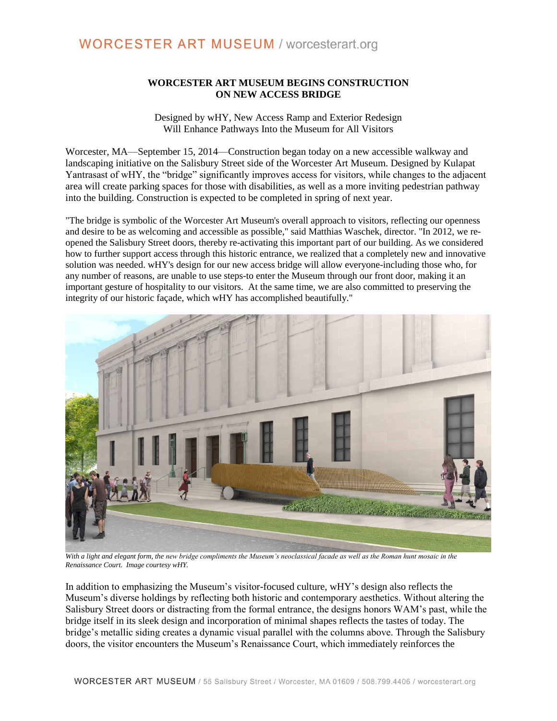### **WORCESTER ART MUSEUM BEGINS CONSTRUCTION ON NEW ACCESS BRIDGE**

Designed by wHY, New Access Ramp and Exterior Redesign Will Enhance Pathways Into the Museum for All Visitors

Worcester, MA—September 15, 2014—Construction began today on a new accessible walkway and landscaping initiative on the Salisbury Street side of the Worcester Art Museum. Designed by Kulapat Yantrasast of wHY, the "bridge" significantly improves access for visitors, while changes to the adjacent area will create parking spaces for those with disabilities, as well as a more inviting pedestrian pathway into the building. Construction is expected to be completed in spring of next year.

"The bridge is symbolic of the Worcester Art Museum's overall approach to visitors, reflecting our openness and desire to be as welcoming and accessible as possible," said Matthias Waschek, director. "In 2012, we reopened the Salisbury Street doors, thereby re-activating this important part of our building. As we considered how to further support access through this historic entrance, we realized that a completely new and innovative solution was needed. wHY's design for our new access bridge will allow everyone-including those who, for any number of reasons, are unable to use steps-to enter the Museum through our front door, making it an important gesture of hospitality to our visitors. At the same time, we are also committed to preserving the integrity of our historic façade, which wHY has accomplished beautifully."



*With a light and elegant form, the new bridge compliments the Museum's neoclassical facade as well as the Roman hunt mosaic in the Renaissance Court. Image courtesy wHY.*

In addition to emphasizing the Museum's visitor-focused culture, wHY's design also reflects the Museum's diverse holdings by reflecting both historic and contemporary aesthetics. Without altering the Salisbury Street doors or distracting from the formal entrance, the designs honors WAM's past, while the bridge itself in its sleek design and incorporation of minimal shapes reflects the tastes of today. The bridge's metallic siding creates a dynamic visual parallel with the columns above. Through the Salisbury doors, the visitor encounters the Museum's Renaissance Court, which immediately reinforces the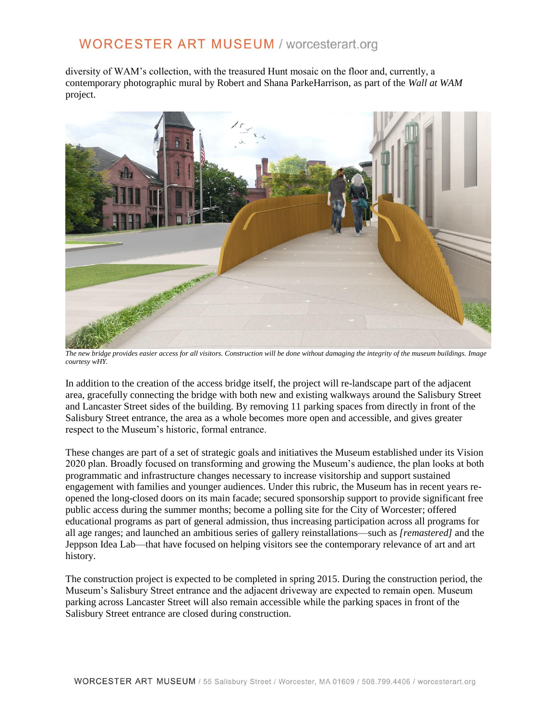# **WORCESTER ART MUSEUM / worcesterart.org**

diversity of WAM's collection, with the treasured Hunt mosaic on the floor and, currently, a contemporary photographic mural by Robert and Shana ParkeHarrison, as part of the *Wall at WAM* project.



*The new bridge provides easier access for all visitors. Construction will be done without damaging the integrity of the museum buildings. Image courtesy wHY.*

In addition to the creation of the access bridge itself, the project will re-landscape part of the adjacent area, gracefully connecting the bridge with both new and existing walkways around the Salisbury Street and Lancaster Street sides of the building. By removing 11 parking spaces from directly in front of the Salisbury Street entrance, the area as a whole becomes more open and accessible, and gives greater respect to the Museum's historic, formal entrance.

These changes are part of a set of strategic goals and initiatives the Museum established under its Vision 2020 plan. Broadly focused on transforming and growing the Museum's audience, the plan looks at both programmatic and infrastructure changes necessary to increase visitorship and support sustained engagement with families and younger audiences. Under this rubric, the Museum has in recent years reopened the long-closed doors on its main facade; secured sponsorship support to provide significant free public access during the summer months; become a polling site for the City of Worcester; offered educational programs as part of general admission, thus increasing participation across all programs for all age ranges; and launched an ambitious series of gallery reinstallations—such as *[remastered]* and the Jeppson Idea Lab—that have focused on helping visitors see the contemporary relevance of art and art history.

The construction project is expected to be completed in spring 2015. During the construction period, the Museum's Salisbury Street entrance and the adjacent driveway are expected to remain open. Museum parking across Lancaster Street will also remain accessible while the parking spaces in front of the Salisbury Street entrance are closed during construction.